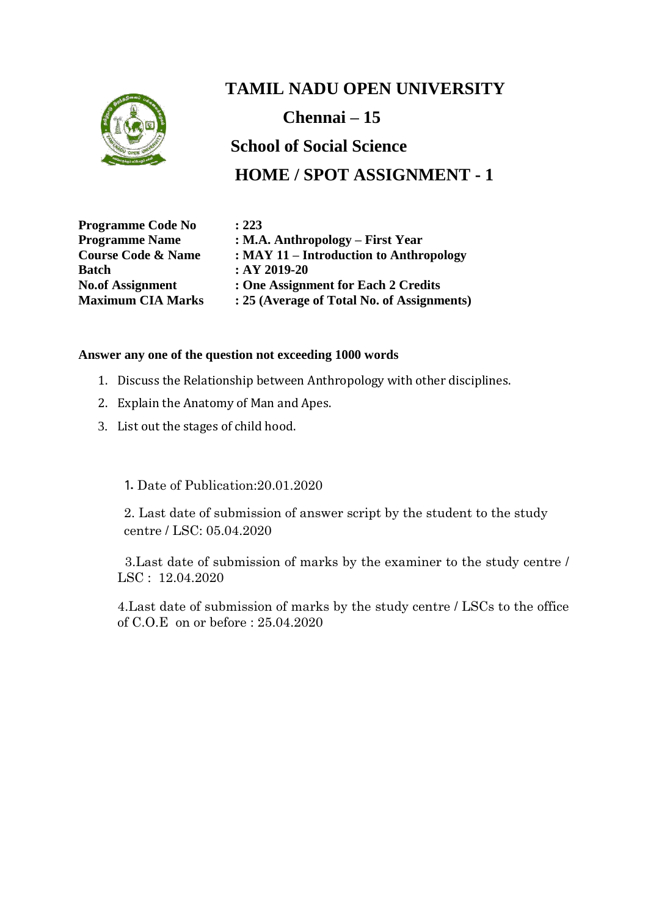

# **TAMIL NADU OPEN UNIVERSITY Chennai – 15 School of Social Science HOME / SPOT ASSIGNMENT - 1**

**Programme Code No : 223 Batch : AY 2019-20**

**Programme Name : M.A. Anthropology – First Year Course Code & Name : MAY 11 – Introduction to Anthropology No.of Assignment : One Assignment for Each 2 Credits Maximum CIA Marks : 25 (Average of Total No. of Assignments)**

#### **Answer any one of the question not exceeding 1000 words**

- 1. Discuss the Relationship between Anthropology with other disciplines.
- 2. Explain the Anatomy of Man and Apes.
- 3. List out the stages of child hood.

1. Date of Publication:20.01.2020

2. Last date of submission of answer script by the student to the study centre / LSC: 05.04.2020

 3.Last date of submission of marks by the examiner to the study centre / LSC : 12.04.2020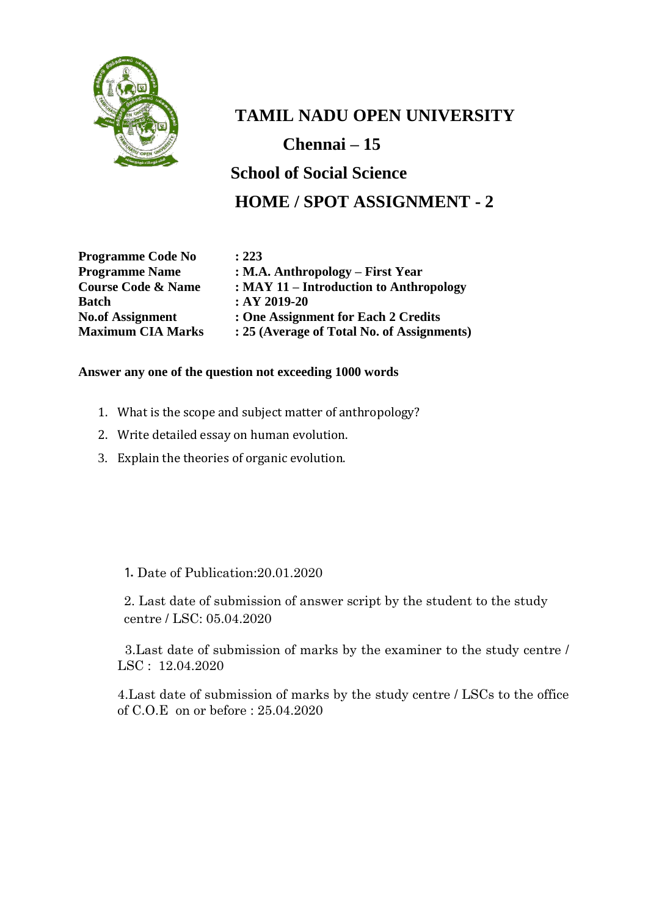

**TAMIL NADU OPEN UNIVERSITY Chennai – 15 School of Social Science HOME / SPOT ASSIGNMENT - 2**

**Programme Code No : 223 Batch : AY 2019-20**

**Programme Name : M.A. Anthropology – First Year Course Code & Name : MAY 11 – Introduction to Anthropology No.of Assignment : One Assignment for Each 2 Credits Maximum CIA Marks : 25 (Average of Total No. of Assignments)**

#### **Answer any one of the question not exceeding 1000 words**

- 1. What is the scope and subject matter of anthropology?
- 2. Write detailed essay on human evolution.
- 3. Explain the theories of organic evolution.

1. Date of Publication:20.01.2020

2. Last date of submission of answer script by the student to the study centre / LSC: 05.04.2020

 3.Last date of submission of marks by the examiner to the study centre / LSC : 12.04.2020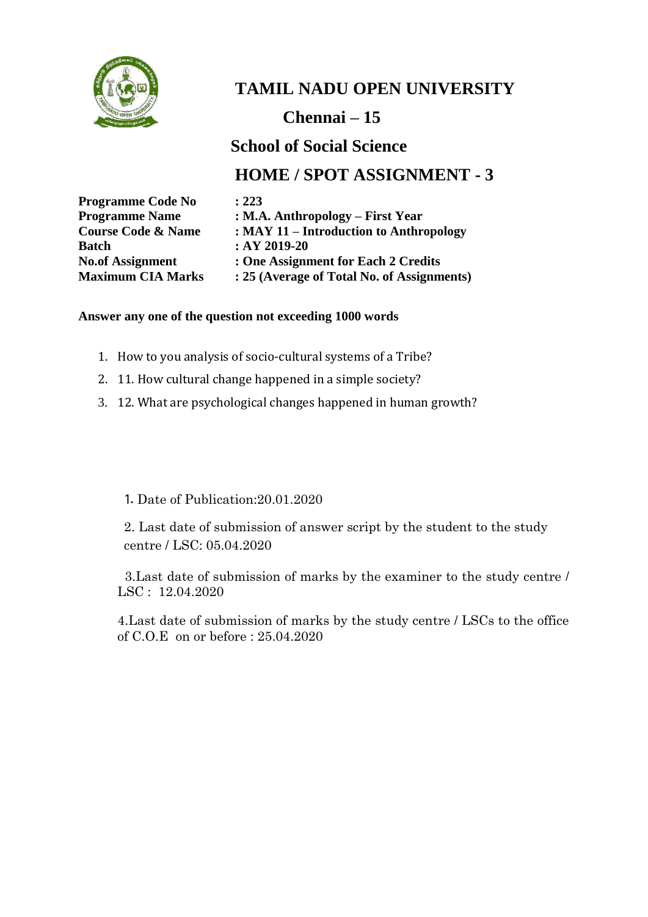

### **Chennai – 15**

### **School of Social Science**

### **HOME / SPOT ASSIGNMENT - 3**

| <b>Programme Code No</b>      | : 223                                      |
|-------------------------------|--------------------------------------------|
| <b>Programme Name</b>         | : M.A. Anthropology – First Year           |
| <b>Course Code &amp; Name</b> | $:$ MAY 11 – Introduction to Anthropology  |
| <b>Batch</b>                  | $:AY 2019-20$                              |
| <b>No.of Assignment</b>       | : One Assignment for Each 2 Credits        |
| <b>Maximum CIA Marks</b>      | : 25 (Average of Total No. of Assignments) |

#### **Answer any one of the question not exceeding 1000 words**

- 1. How to you analysis of socio-cultural systems of a Tribe?
- 2. 11. How cultural change happened in a simple society?
- 3. 12. What are psychological changes happened in human growth?

1. Date of Publication:20.01.2020

2. Last date of submission of answer script by the student to the study centre / LSC: 05.04.2020

 3.Last date of submission of marks by the examiner to the study centre / LSC : 12.04.2020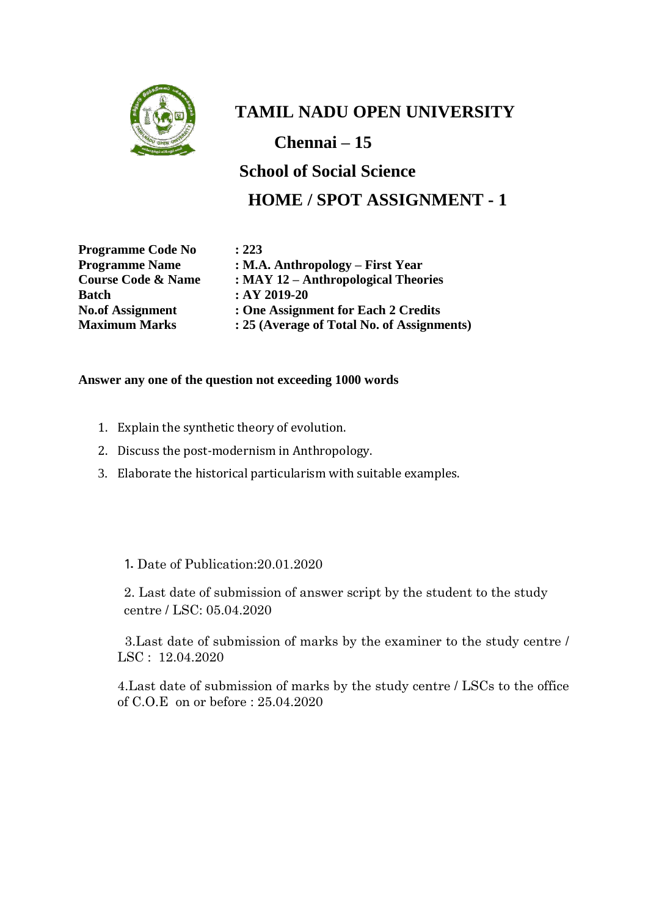

**Chennai – 15**

**School of Social Science HOME / SPOT ASSIGNMENT - 1**

**Programme Code No : 223 Batch : AY 2019-20**

**Programme Name : M.A. Anthropology – First Year Course Code & Name : MAY 12 – Anthropological Theories No.of Assignment : One Assignment for Each 2 Credits Maximum Marks : 25 (Average of Total No. of Assignments)**

#### **Answer any one of the question not exceeding 1000 words**

- 1. Explain the synthetic theory of evolution.
- 2. Discuss the post-modernism in Anthropology.
- 3. Elaborate the historical particularism with suitable examples.

#### 1. Date of Publication:20.01.2020

2. Last date of submission of answer script by the student to the study centre / LSC: 05.04.2020

 3.Last date of submission of marks by the examiner to the study centre / LSC : 12.04.2020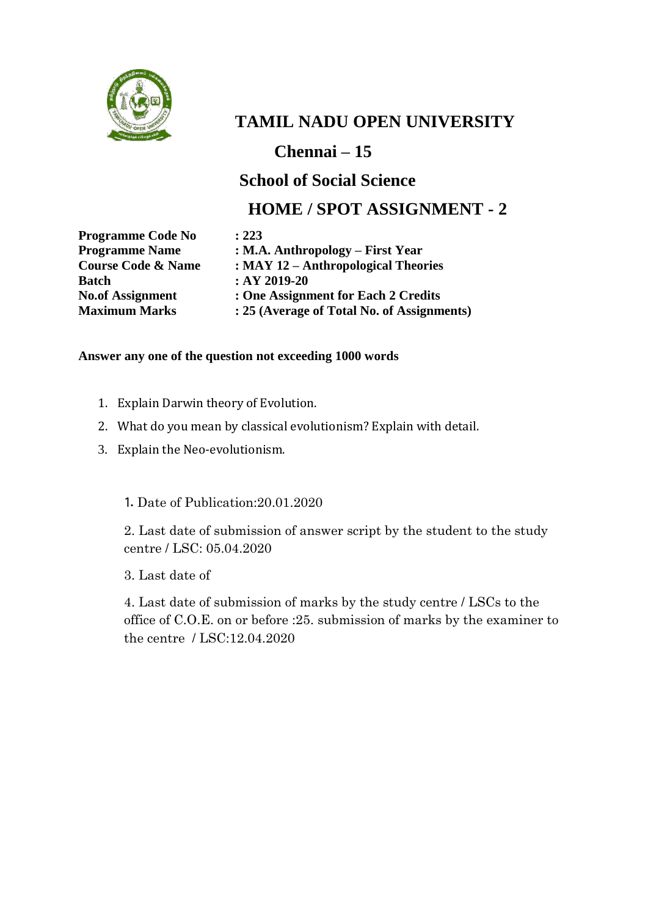

**Chennai – 15**

### **School of Social Science**

### **HOME / SPOT ASSIGNMENT - 2**

**Programme Code No : 223 Batch : AY 2019-20**

**Programme Name : M.A. Anthropology – First Year Course Code & Name : MAY 12 – Anthropological Theories No.of Assignment : One Assignment for Each 2 Credits Maximum Marks : 25 (Average of Total No. of Assignments)**

#### **Answer any one of the question not exceeding 1000 words**

- 1. Explain Darwin theory of Evolution.
- 2. What do you mean by classical evolutionism? Explain with detail.
- 3. Explain the Neo-evolutionism.

1. Date of Publication:20.01.2020

2. Last date of submission of answer script by the student to the study centre / LSC: 05.04.2020

3. Last date of

4. Last date of submission of marks by the study centre / LSCs to the office of C.O.E. on or before :25. submission of marks by the examiner to the centre / LSC:12.04.2020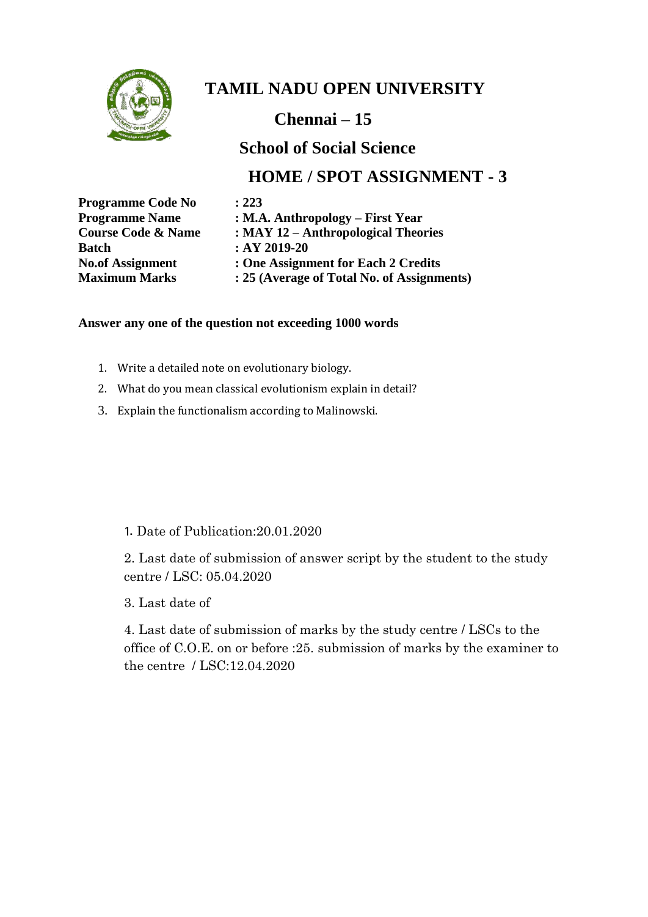

**Chennai – 15**

### **School of Social Science**

### **HOME / SPOT ASSIGNMENT - 3**

| <b>Programme Code No</b>      | : 223                                      |
|-------------------------------|--------------------------------------------|
| <b>Programme Name</b>         | : M.A. Anthropology – First Year           |
| <b>Course Code &amp; Name</b> | : $MAY$ 12 – Anthropological Theories      |
| <b>Batch</b>                  | $:AY 2019-20$                              |
| <b>No.of Assignment</b>       | : One Assignment for Each 2 Credits        |
| <b>Maximum Marks</b>          | : 25 (Average of Total No. of Assignments) |

#### **Answer any one of the question not exceeding 1000 words**

- 1. Write a detailed note on evolutionary biology.
- 2. What do you mean classical evolutionism explain in detail?
- 3. Explain the functionalism according to Malinowski.

#### 1. Date of Publication:20.01.2020

2. Last date of submission of answer script by the student to the study centre / LSC: 05.04.2020

3. Last date of

4. Last date of submission of marks by the study centre / LSCs to the office of C.O.E. on or before :25. submission of marks by the examiner to the centre / LSC:12.04.2020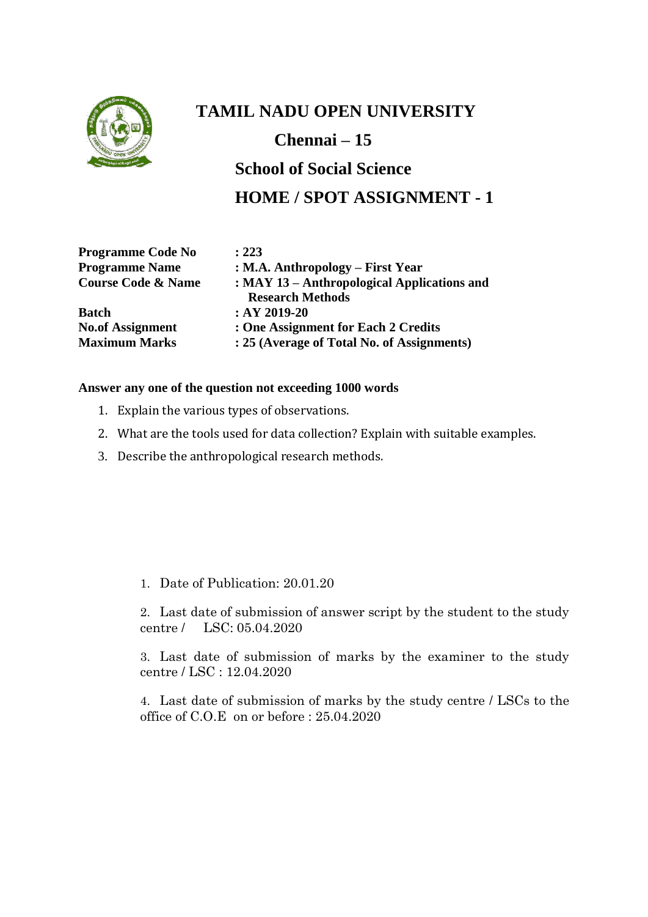

**Chennai – 15**

## **School of Social Science HOME / SPOT ASSIGNMENT - 1**

| <b>Programme Code No</b>      | : 223                                       |
|-------------------------------|---------------------------------------------|
| <b>Programme Name</b>         | : M.A. Anthropology – First Year            |
| <b>Course Code &amp; Name</b> | : MAY 13 – Anthropological Applications and |
|                               | <b>Research Methods</b>                     |
| <b>Batch</b>                  | $:AY 2019-20$                               |
| <b>No.of Assignment</b>       | : One Assignment for Each 2 Credits         |
| <b>Maximum Marks</b>          | : 25 (Average of Total No. of Assignments)  |

#### **Answer any one of the question not exceeding 1000 words**

- 1. Explain the various types of observations.
- 2. What are the tools used for data collection? Explain with suitable examples.
- 3. Describe the anthropological research methods.

1. Date of Publication: 20.01.20

2. Last date of submission of answer script by the student to the study centre / LSC: 05.04.2020

3. Last date of submission of marks by the examiner to the study centre / LSC : 12.04.2020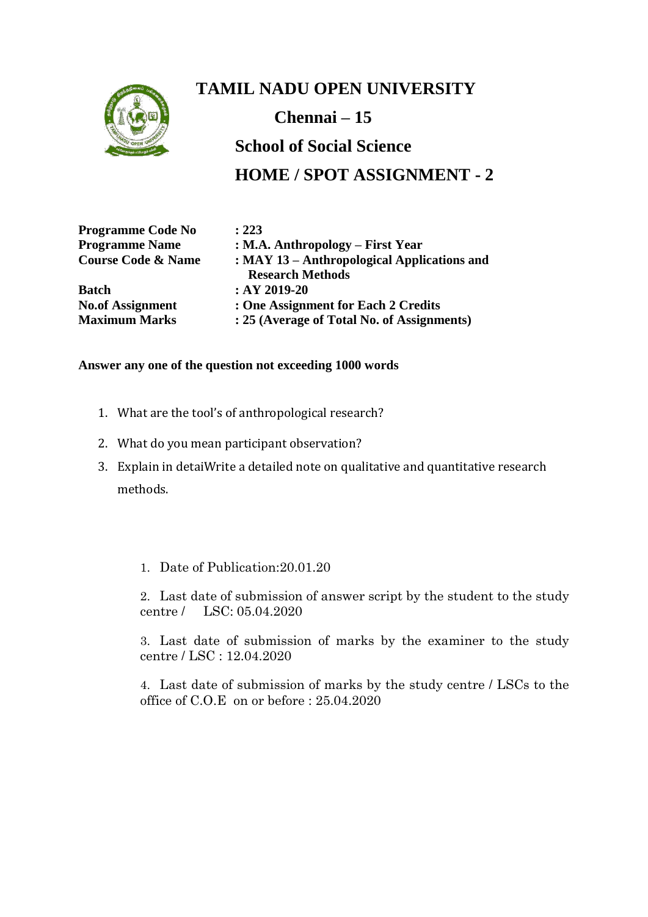

## **TAMIL NADU OPEN UNIVERSITY Chennai – 15 School of Social Science HOME / SPOT ASSIGNMENT - 2**

| <b>Programme Code No</b>      | : 223                                       |
|-------------------------------|---------------------------------------------|
| <b>Programme Name</b>         | : M.A. Anthropology – First Year            |
| <b>Course Code &amp; Name</b> | : MAY 13 – Anthropological Applications and |
|                               | <b>Research Methods</b>                     |
| <b>Batch</b>                  | $:AY 2019-20$                               |
| <b>No.of Assignment</b>       | : One Assignment for Each 2 Credits         |
| <b>Maximum Marks</b>          | : 25 (Average of Total No. of Assignments)  |

#### **Answer any one of the question not exceeding 1000 words**

- 1. What are the tool's of anthropological research?
- 2. What do you mean participant observation?
- 3. Explain in detaiWrite a detailed note on qualitative and quantitative research methods.

#### 1. Date of Publication:20.01.20

2. Last date of submission of answer script by the student to the study centre / LSC: 05.04.2020

3. Last date of submission of marks by the examiner to the study centre / LSC : 12.04.2020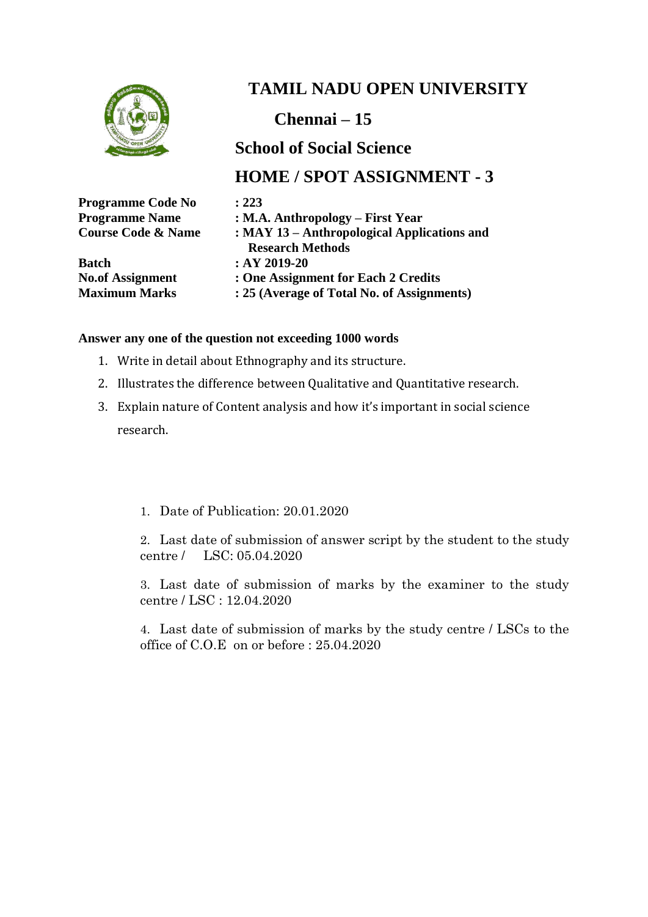

**Chennai – 15**

### **School of Social Science**

#### **HOME / SPOT ASSIGNMENT - 3**

| <b>Programme Code No</b>      | : 223                                       |
|-------------------------------|---------------------------------------------|
| <b>Programme Name</b>         | : M.A. Anthropology – First Year            |
| <b>Course Code &amp; Name</b> | : MAY 13 – Anthropological Applications and |
|                               | <b>Research Methods</b>                     |
| <b>Batch</b>                  | $:AY 2019-20$                               |
| <b>No.of Assignment</b>       | : One Assignment for Each 2 Credits         |

**Maximum Marks : 25 (Average of Total No. of Assignments)**

#### **Answer any one of the question not exceeding 1000 words**

- 1. Write in detail about Ethnography and its structure.
- 2. Illustrates the difference between Qualitative and Quantitative research.
- 3. Explain nature of Content analysis and how it's important in social science research.
	- 1. Date of Publication: 20.01.2020

2. Last date of submission of answer script by the student to the study centre / LSC: 05.04.2020

3. Last date of submission of marks by the examiner to the study centre / LSC : 12.04.2020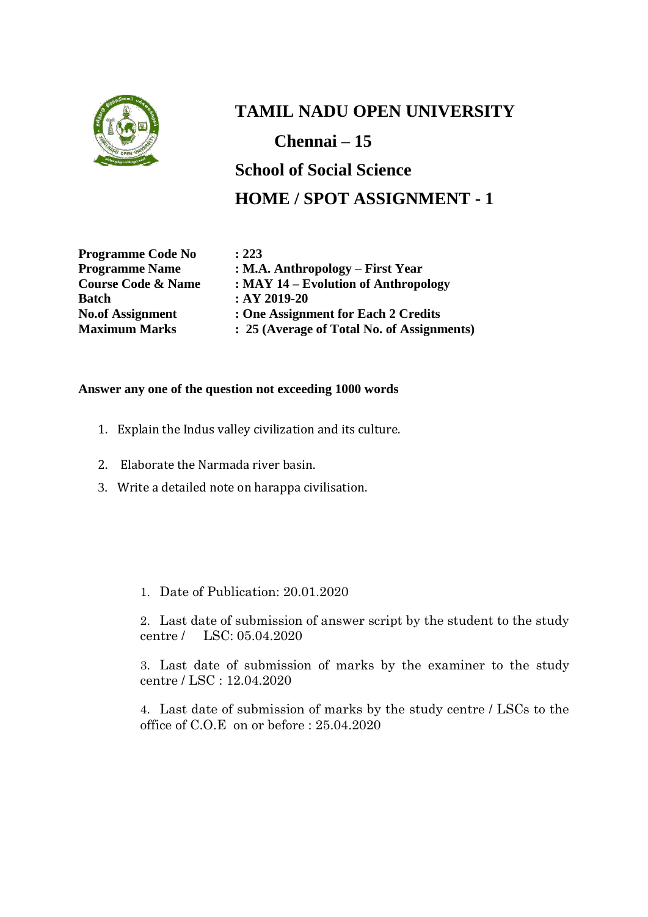

**Chennai – 15**

**School of Social Science HOME / SPOT ASSIGNMENT - 1**

**Programme Code No : 223<br>Programme Name : M.A Batch : AY 2019-20**

**Programmer Shart Strongwish Shart Strongwish Name 2.5 Year Course Code & Name : MAY 14 – Evolution of Anthropology No.of Assignment : One Assignment for Each 2 Credits Maximum Marks : 25 (Average of Total No. of Assignments)**

#### **Answer any one of the question not exceeding 1000 words**

- 1. Explain the Indus valley civilization and its culture.
- 2. Elaborate the Narmada river basin.
- 3. Write a detailed note on harappa civilisation.
	- 1. Date of Publication: 20.01.2020

2. Last date of submission of answer script by the student to the study centre / LSC: 05.04.2020

3. Last date of submission of marks by the examiner to the study centre / LSC : 12.04.2020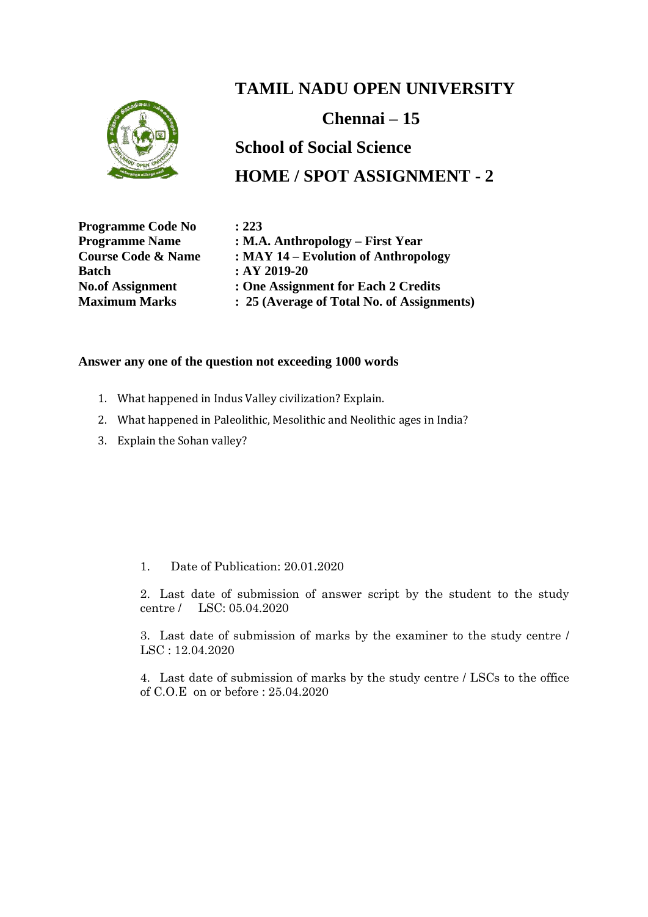

#### **Chennai – 15**

## **School of Social Science HOME / SPOT ASSIGNMENT - 2**

**Programme Code No : 223 Batch : AY 2019-20**

**Programme Name : M.A. Anthropology – First Year Course Code & Name : MAY 14 – Evolution of Anthropology No.of Assignment : One Assignment for Each 2 Credits Maximum Marks : 25 (Average of Total No. of Assignments)**

#### **Answer any one of the question not exceeding 1000 words**

- 1. What happened in Indus Valley civilization? Explain.
- 2. What happened in Paleolithic, Mesolithic and Neolithic ages in India?
- 3. Explain the Sohan valley?

#### 1. Date of Publication: 20.01.2020

2. Last date of submission of answer script by the student to the study centre / LSC: 05.04.2020

3. Last date of submission of marks by the examiner to the study centre / LSC : 12.04.2020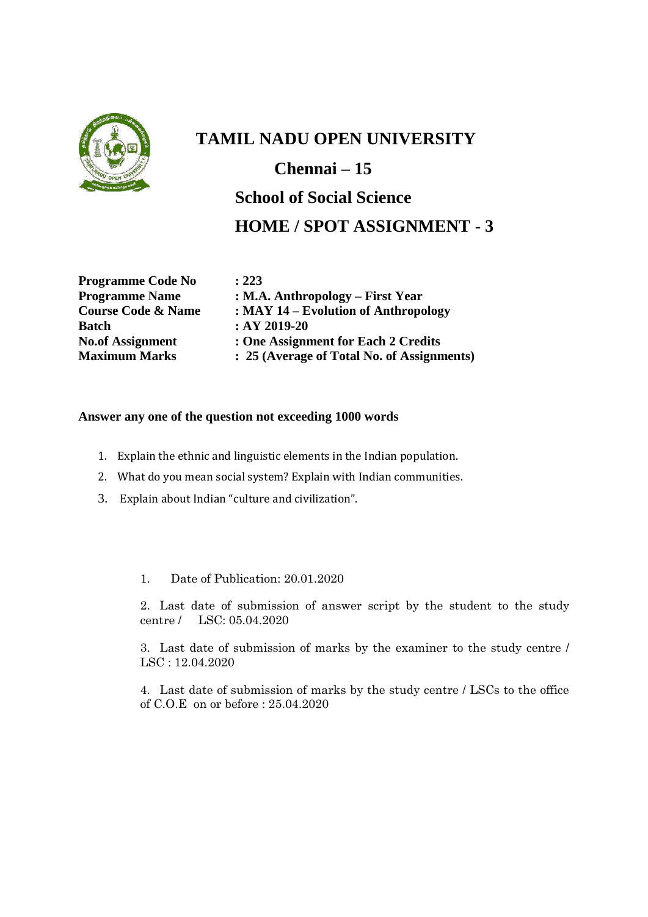

## **TAMIL NADU OPEN UNIVERSITY Chennai – 15 School of Social Science HOME / SPOT ASSIGNMENT - 3**

**Programme Code No : 223 Batch** : AY 2019-20

**Programme Name** : **M.A. Anthropology – First Year**<br>Course Code & Name : **MAY 14 – Evolution of Anthropology Course Code & Name : MAY 14 – Evolution of Anthropology No.of Assignment : One Assignment for Each 2 Credits Maximum Marks : 25 (Average of Total No. of Assignments)**

#### **Answer any one of the question not exceeding 1000 words**

- 1. Explain the ethnic and linguistic elements in the Indian population.
- 2. What do you mean social system? Explain with Indian communities.
- 3. Explain about Indian "culture and civilization".

1. Date of Publication: 20.01.2020

2. Last date of submission of answer script by the student to the study centre / LSC: 05.04.2020

3. Last date of submission of marks by the examiner to the study centre / LSC : 12.04.2020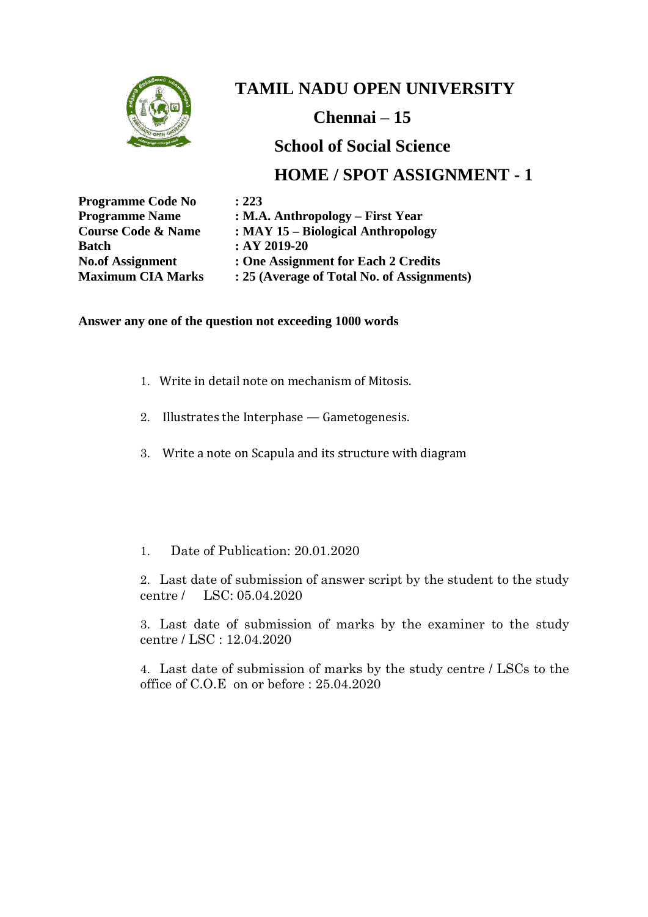

**Chennai – 15**

#### **School of Social Science**

### **HOME / SPOT ASSIGNMENT - 1**

| <b>Programme Code No</b>      | : 223                                      |
|-------------------------------|--------------------------------------------|
| <b>Programme Name</b>         | $: M.A.$ Anthropology – First Year         |
| <b>Course Code &amp; Name</b> | : MAY 15 – Biological Anthropology         |
| <b>Batch</b>                  | $:AY 2019-20$                              |
| <b>No.of Assignment</b>       | : One Assignment for Each 2 Credits        |
| <b>Maximum CIA Marks</b>      | : 25 (Average of Total No. of Assignments) |

#### **Answer any one of the question not exceeding 1000 words**

- 1. Write in detail note on mechanism of Mitosis.
- 2. Illustrates the Interphase Gametogenesis.
- 3. Write a note on Scapula and its structure with diagram
- 1. Date of Publication: 20.01.2020

2. Last date of submission of answer script by the student to the study centre / LSC: 05.04.2020

3. Last date of submission of marks by the examiner to the study centre / LSC : 12.04.2020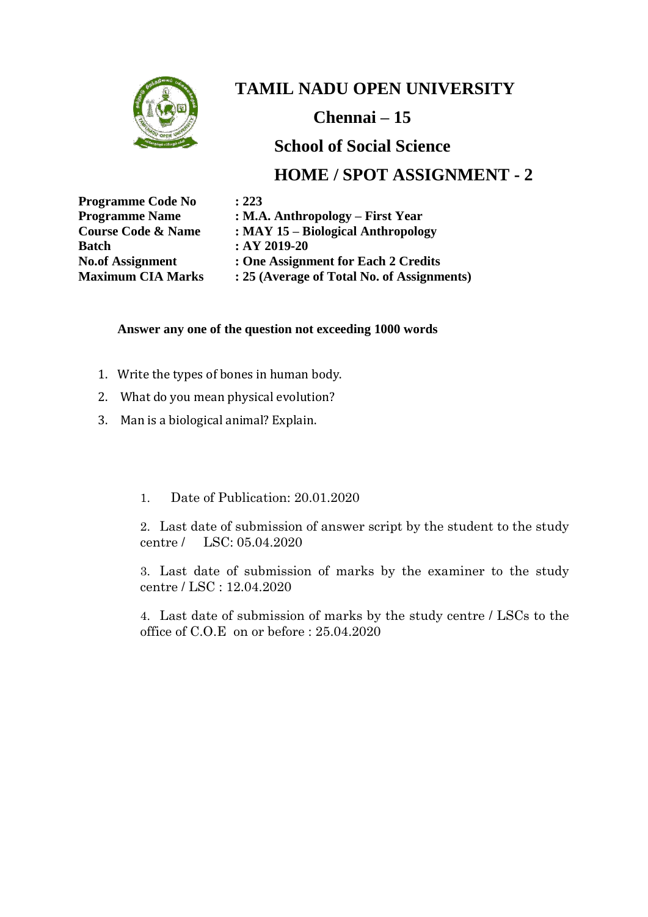

**Chennai – 15**

### **School of Social Science**

### **HOME / SPOT ASSIGNMENT - 2**

| <b>Programme Code No</b>      | : 223                                |
|-------------------------------|--------------------------------------|
| <b>Programme Name</b>         | $: M.A.$ Anthropology – First Year   |
| <b>Course Code &amp; Name</b> | : MAY 15 – Biological Anthropolo     |
| <b>Batch</b>                  | $:AY 2019-20$                        |
| <b>No.of Assignment</b>       | : One Assignment for Each 2 Cree     |
| <b>Maximum CIA Marks</b>      | : 25 (Average of Total No. of Assign |

**Course Code & Name : MAY 15 – Biological Anthropology** 2 Credits *<u>dia</u>* **Assignments** 

#### **Answer any one of the question not exceeding 1000 words**

- 1. Write the types of bones in human body.
- 2. What do you mean physical evolution?
- 3. Man is a biological animal? Explain.

#### 1. Date of Publication: 20.01.2020

2. Last date of submission of answer script by the student to the study centre / LSC: 05.04.2020

3. Last date of submission of marks by the examiner to the study centre / LSC : 12.04.2020